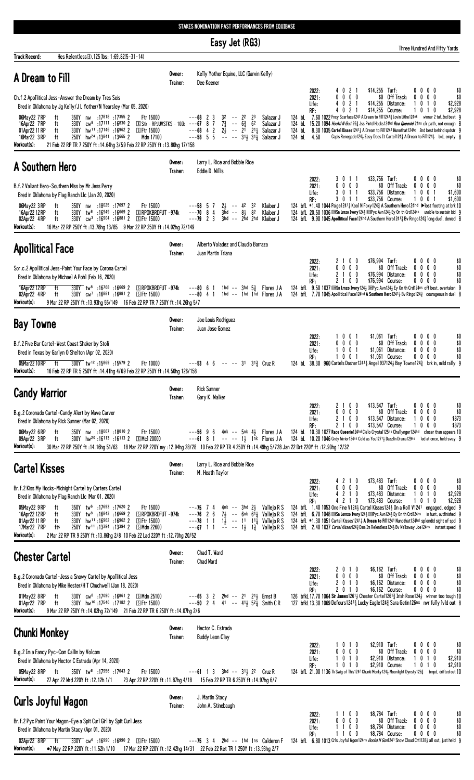|                                                                                                                                                                                                                                                                                                                                                                                                                                                                                                                                                  | Easy Jet (RG3)                                                                                                                                                                                                                                                                   | Three Hundred And Fifty Yards                                                                                                                                                                                                                                                                                                                                                                                                                                                                                                                                                                                                                                                                               |
|--------------------------------------------------------------------------------------------------------------------------------------------------------------------------------------------------------------------------------------------------------------------------------------------------------------------------------------------------------------------------------------------------------------------------------------------------------------------------------------------------------------------------------------------------|----------------------------------------------------------------------------------------------------------------------------------------------------------------------------------------------------------------------------------------------------------------------------------|-------------------------------------------------------------------------------------------------------------------------------------------------------------------------------------------------------------------------------------------------------------------------------------------------------------------------------------------------------------------------------------------------------------------------------------------------------------------------------------------------------------------------------------------------------------------------------------------------------------------------------------------------------------------------------------------------------------|
| Hes Relentless(3), 125 lbs; 1:69.82(5-31-14)<br><b>Track Record:</b>                                                                                                                                                                                                                                                                                                                                                                                                                                                                             |                                                                                                                                                                                                                                                                                  |                                                                                                                                                                                                                                                                                                                                                                                                                                                                                                                                                                                                                                                                                                             |
| A Dream to Fill                                                                                                                                                                                                                                                                                                                                                                                                                                                                                                                                  | Kelly Yother Equine, LLC (Garvin Kelly)<br>Owner:<br>Trainer:<br>Dee Keener                                                                                                                                                                                                      |                                                                                                                                                                                                                                                                                                                                                                                                                                                                                                                                                                                                                                                                                                             |
| Ch.f.2 Apollitical Jess-Answer the Dream by Tres Seis<br>Bred in Oklahoma by Jg Kelly/J L Yother/N Yearsley (Mar 05, 2020)<br>350Y nw :17818 :17355 2<br>Ftr 15000<br>06May22 7RP<br>ft<br>330Y cw <sup>8</sup> :17111 :16830 2<br>16Apr22 7RP<br>ft<br>S Stk - RPJUVSTKS - 100k<br>hw <sup>11</sup> :17146:169622<br>01Apr22 11 RP<br>ft<br>330Y<br><b>SFtr 15000</b><br>250Y hw <sup>24</sup> :13841 :13665 2<br>16Mar22 3 RP<br>Mdn 17100<br>ft<br>21 Feb 22 RP TR 7 250Y ft : 14.64hg 3/59 Feb 22 RP 250Y ft : 13.80hg 17/158<br>Workout(s): | 23<br>$3^2$ -- $2^2$<br>23<br>Salazar J<br>---68<br>$7\frac{3}{4}$ -- $6\frac{3}{4}$<br>6 <sup>2</sup><br>$---67$ 8 7<br>Salazar J<br>$- -68$ 4 2 $2\frac{1}{2}$ -- $2\frac{1}{1}$ 211<br>--58 5 5 -- -- $31\frac{1}{2}$ 31 <sup>1</sup><br>Salazar J<br>Salazar J               | $$14,255$ Turf:<br>2022:<br>021<br>$0\,0\,0\,0$<br>\$0<br>0 0 0 0<br>\$0<br>0 <sub>0</sub><br>Off Track:<br>\$0<br>2021:<br>0<br>$\mathbf{0}$<br>021<br>\$14,255<br>Distance:<br>Life:<br>-1<br>$\mathbf{0}$<br>10<br>\$2,928<br>4<br>4021<br>\$14,255<br>\$2,928<br>RP:<br>Course:<br>1010<br>124 bl 7.60 1022 Fncy Scarface1243 A Dream to Fil112413 Lovin Lithe124nk winner 2 tuf, 2nd best 9<br>15.20 1094 Hookd N Gon1263 Jss Pintd Hocks124hd Rce Queenie124ns clr path, not enough 8<br>124 bL<br>8.30 1035 Cartel Kisses12411 A Dream to Fill1241 Nunothat124hd 2nd best behind spdstr 9<br>124 bL<br>124 bL<br>Capis Renegade1243 Easy Does It Carte11243 A Dream to Fil11243 bid, empty 8<br>4.50 |
| A Southern Hero                                                                                                                                                                                                                                                                                                                                                                                                                                                                                                                                  | Larry L. Rice and Bobbie Rice<br>Owner:<br>Eddie D. Willis<br>Trainer:                                                                                                                                                                                                           |                                                                                                                                                                                                                                                                                                                                                                                                                                                                                                                                                                                                                                                                                                             |
| B.f.2 Valiant Hero-Southern Miss by Mr Jess Perry<br>Bred in Oklahoma by Flag Ranch Llc (Jan 20, 2020)<br>06May22 3 RP<br>350Y nw :18025 :17697 2<br>Ftr 15000<br>ft<br><b>SIRPOKBRDFUT-974k</b><br>330Y tw <sup>8</sup> :16949 :16669 2<br>ft<br>16Apr22 12 RP<br>330Y cw <sup>3</sup> :16904 :16881 2<br><b>SFtr 15000</b><br>02Apr22 4RP<br>ft<br>Workout(s):<br>16 Mar 22 RP 250Y ft: 13.78hg 13/85 9 Mar 22 RP 250Y ft: 14.02hg 72/149                                                                                                      | $2\frac{1}{2}$ -- 42<br>32<br>Klaiber J<br>$---58$ 5 7<br>$---70$ 8 4<br>$3\bar{h}d$ -- $8\frac{1}{2}$ $8^2$<br>Klaiber J<br>$---79$ 2 3<br>3hd -- 2hd 2hd Klaiber J                                                                                                             | \$33,756 Turf:<br>0 0 0 0<br>3011<br>\$0<br>2022:<br>\$0 Off Track:<br>$0\quad 0\quad 0$<br>$0\ 0\ 0\ 0$<br>2021:<br>0<br>\$0<br>$0 \t1 \t1$<br>\$33.756 Distance:<br>0 <sub>1</sub><br>3<br>1<br>0<br>\$1,600<br>Life:<br>\$33,756 Course:<br>3 0 1 1<br>1001<br>\$1,600<br>RP:<br>124 bfL *1.40 1044 Paige12411 Kool N Foxy1243 A Southern Hero124hd ▶lost footing at brk 10<br>124 bfl 20.50 1036 DEISn Lmzo Ivory124} DEPyc Avn124} Ey On th Crd124ns unable to sustain bid 9<br>124 bfl. 9.90 1045 Apollitical Face124hd A Southern Hero1241 $\frac{3}{2}$ Bv Ringo124 $\frac{3}{2}$ long duel, denied 8                                                                                               |
| <b>Apollitical Face</b>                                                                                                                                                                                                                                                                                                                                                                                                                                                                                                                          | Alberto Valadez and Claudio Barraza<br>Owner:<br>Trainer:<br>Juan Martin Triana                                                                                                                                                                                                  |                                                                                                                                                                                                                                                                                                                                                                                                                                                                                                                                                                                                                                                                                                             |
| Sor.c.2 Apollitical Jess-Paint Your Face by Corona Cartel<br>Bred in Oklahoma by Michael A Pohl (Feb 16, 2020)<br>16Apr22 12 RP<br>ft<br>$330Y$ tw <sup>8</sup> :16 <sup>768</sup> :16 <sup>669</sup> 2<br>S RPOKBRDFUT -974k<br>330Y cw <sup>3</sup> :16881 :16881 2<br>02Apr22 4RP<br>⑤ Ftr 15000<br>ft<br>Workout(s):<br>9 Mar 22 RP 250Y ft :13.93hg 55/149 16 Feb 22 RP TR 7 250Y ft :14.26hg 5/7                                                                                                                                           | $---806$<br>1hd $-$ 3hd $5\frac{3}{7}$ Flores JA<br>$---80$ 4 1<br>1hd -- 1hd 1hd Flores JA                                                                                                                                                                                      | 2 1 0 0<br>\$76,994 Turf:<br>2022:<br>0000<br>\$0<br>0 <sub>0</sub><br>\$0<br>$0\ 0\ 0\ 0$<br>\$0 Off Track:<br>2021:<br>00<br>2 1 0 0<br>\$76,994<br>Distance:<br>$0\ 0\ 0$<br>\$0<br>Life:<br>0<br>2 1 0 0<br>\$76,994 Course:<br>$0\quad 0$<br>\$0<br>RP:<br>00<br>124 bfl 9.50 1037 DESn Lmzo Ivory 1243 DEPyc Avn1243 Ey On th Crd124ns off best, overtaken 9<br>124 bfl. 7.70 1045 Apollitical Face124hd A Southern Hero12413 Bv Ringo1243 courageous in duel 8                                                                                                                                                                                                                                       |
| <b>Bay Towne</b>                                                                                                                                                                                                                                                                                                                                                                                                                                                                                                                                 | Joe Louis Rodriguez<br>Owner:<br>Juan Jose Gomez<br>Trainer:                                                                                                                                                                                                                     |                                                                                                                                                                                                                                                                                                                                                                                                                                                                                                                                                                                                                                                                                                             |
| B.f.2 Five Bar Cartel-West Coast Shaker by Stoli<br>Bred in Texas by Garlyn O Shelton (Apr 02, 2020)<br>300Y tw <sup>12</sup> :15869:15579 2<br>05Mar 22 10 RP<br>Ftr 10000<br>ft<br>Workout(s):<br>16 Feb 22 RP TR 5 250Y ft : 14.41hg 4/69 Feb 22 RP 250Y ft : 14.50hg 126/158                                                                                                                                                                                                                                                                 | $---53$ 4 6 $---31$ 31 <sup>3</sup> / <sub>3</sub> Cruz R                                                                                                                                                                                                                        | $$1,061$ Turf:<br>$0 \t0 \t1$<br>00<br>00<br>\$0<br>2022:<br>$0\quad 0$<br>$0\ 0\ 0$<br>\$0 Off Track:<br>2021:<br>0<br>0<br>$^{\circ}$<br>\$0<br>$0 \t0 \t1$<br>\$1,061<br>Distance:<br>$0\quad 0$<br>$0\quad 0$<br>\$0<br>Life:<br>RP:<br>$0\quad 0$<br>\$1,061 Course:<br>$0\quad 0$<br>\$0<br>00<br>124 bL 38.30 960 Cartels Dasher1241 $\frac{1}{4}$ Angel 937124 $\frac{1}{2}$ Bay Towne124 $\frac{3}{4}$ brk in, mild rally 9                                                                                                                                                                                                                                                                        |
| <b>Candy Warrior</b>                                                                                                                                                                                                                                                                                                                                                                                                                                                                                                                             | <b>Rick Sumner</b><br>Owner:<br>Trainer:<br>Gary K. Walker                                                                                                                                                                                                                       |                                                                                                                                                                                                                                                                                                                                                                                                                                                                                                                                                                                                                                                                                                             |
| B.g.2 Coronado Cartel-Candy Alert by Wave Carver<br>Bred in Oklahoma by Rick Sumner (Mar 02, 2020)<br>ft<br>350Y nw :18067 :18010 2<br>Ftr 15000<br>06May22 6 RP<br>300Y hw <sup>20</sup> :16113 :16113 2 SMcl 20000<br>09Apr22 3RP<br>ft<br>Workout(s):<br>30 Mar 22 RP 250Y ft : 14.16hg 51/63 18 Mar 22 RP 220Y my : 12.94hg 28/28 10 Feb 22 RP TR 4 250Y ft : 14.49hg 5/728 Jan 22 Drt 220Y ft : 12.90hg 12/32                                                                                                                               | $---56$ 9 6 4nk $---5nk$ 4 $\frac{1}{2}$ Flores JA<br>$---61$ 8 1 $---$ 1 $\frac{1}{2}$ 1 $\bar{n}$ k Flores JA                                                                                                                                                                  | $$13,547$ Turf:<br>2022:<br>2 1 0 0<br>$0\,0\,0\,0$<br>\$0<br>$0\ 0\ 0\ 0$<br>\$0 Off Track:<br>$0\,0\,0\,0$<br>\$0<br>2021:<br>2 1 0 0<br>\$13,547 Distance:<br>$0\ 0\ 0$<br>\$873<br>Life:<br>-1<br>2 1 0 0<br>\$13,547 Course:<br>1000<br>\$873<br>RP:<br>124 bl 10.30 1027 Race Queenie124hd Cielo Crystal125nk Challynger124hd closer than appears 10<br>124 bl 10.20 1046 Cndy Wrrior124nk Cold as You12713 Dazzlin Drama129ns led at once, held sway 9                                                                                                                                                                                                                                               |
| <b>Cartel Kisses</b>                                                                                                                                                                                                                                                                                                                                                                                                                                                                                                                             | Larry L. Rice and Bobbie Rice<br>Owner:<br>M. Heath Taylor<br>Trainer:                                                                                                                                                                                                           |                                                                                                                                                                                                                                                                                                                                                                                                                                                                                                                                                                                                                                                                                                             |
| Br.f.2 Kiss My Hocks-Midnight Cartel by Carters Cartel<br>Bred in Oklahoma by Flag Ranch Llc (Mar 01, 2020)<br>Ftr 15000<br>05May22 9RP<br>350Y tw <sup>6</sup> :17693 :17620 2<br>ft<br>16Apr22 12 RP<br>$330Y$ tw <sup>8</sup> :16843 :16669 2<br>S RPOKBRDFUT -974k<br>ft<br>330Y hw <sup>11</sup> :16962:169622<br>01Apr22 11 RP<br>ft<br>⑤ Ftr 15000<br>250Y tw <sup>11</sup> :13394 :13394 2 SMdn 22600<br>17Mar22 7RP<br>fts<br>Workout(s):<br>2 Mar 22 RP TR 9 250Y ft : 13.86hg 2/8 10 Feb 22 Lad 220Y ft : 12.70hg 20/52               | $---75$ 7 4 4nk -- 3hd 2 $\frac{1}{2}$<br>Vallejo R S<br>$---76$ 2 6<br>7 $\frac{1}{2}$ -- 6nk 61 $\frac{1}{4}$ Vallejo R S<br>$-$ - 78 1 1 1 $\frac{1}{2}$ - - 11 1 <sup>1</sup> / <sub>4</sub> Vallejo R S<br>$---67$ 1 1 $---$ 1 $\frac{1}{2}$ 1 $\frac{3}{4}$<br>Vallejo R S | \$73,483 Turf:<br>4210<br>$0\ 0\ 0\ 0$<br>\$0<br>2022:<br>\$0 Off Track:<br>0 0 0 0<br>$0\ 0\ 0\ 0$<br>2021:<br>\$0<br>4 2 1 0<br>\$73,483 Distance:<br>-1<br>0<br>10<br>\$2,928<br>Life:<br>4210<br>\$73,483 Course:<br>\$2,928<br>1010<br>RP:<br>124 bfL 1.40 1053 One Fine V1243 Cartel Kisses1243 On a Roll V1241 engaged, edged 9<br>124 bfl 6.70 1048 DELSn Lornzo Ivory 1243 DEPyc Avn1243 Ey On th Crd124ns in hunt, outfinished 9<br>124 bfL *1.30 1051 Cartel Kisses12411 A Dream to Fil11241 Nunothat124hd splendid sight of spd 9<br>124 bfl. 2.40 1037 Cartel Kisses124 3 Dam Im Relentless124 3 Bv Walkaway Joe124ns instant speed 8                                                          |
| <b>Chester Cartel</b>                                                                                                                                                                                                                                                                                                                                                                                                                                                                                                                            | Chad T. Ward<br>Owner:<br><b>Chad Ward</b><br>Trainer:                                                                                                                                                                                                                           |                                                                                                                                                                                                                                                                                                                                                                                                                                                                                                                                                                                                                                                                                                             |
| B.g.2 Coronado Cartel-Jess a Snowy Cartel by Apollitical Jess<br>Bred in Oklahoma by Mike Hester/H T Chuchwell (Jan 18, 2020)<br>330Y cw <sup>8</sup> :17090 :16861 2 SMdn 25100<br>ft<br>01May22 8RP<br>330Y hw <sup>16</sup> :17546 :17182 2 SFtr 15000<br>01Apr22 7RP<br>ft<br>Workout(s):<br>9 Mar 22 RP 250Y ft : 14.02hg 72/149 21 Feb 22 RP TR 6 250Y ft : 14.07hg 2/6                                                                                                                                                                    | $---65$ 3 2 2hd $---21$ 2 <sup>1</sup> 2 <sup>1</sup> Ernst B<br>$---50$ 2 4 41 $---41\frac{1}{2}$ 52 $\frac{1}{4}$ Smith C R                                                                                                                                                    | \$6,162 Turf:<br>2022:<br>2 0 1 0<br>$0\ 0\ 0\ 0$<br>\$0<br>0 0 0 0<br>\$0 Off Track:<br>$0\ 0\ 0\ 0$<br>\$0<br>2021:<br>2010<br>\$6,162 Distance:<br>0000<br>\$0<br>Life:<br>2 0 1 0<br>\$6,162 Course:<br>$0\ 0\ 0\ 0$<br>\$0<br>RP:<br>126 bfkl 17.70 1064 Sir James1261 <sup>1</sup> / <sub>2</sub> Chester Cartel1261 <sup>3</sup> / <sub>4</sub> Irish Rose124 <sup>1</sup> / <sub>2</sub> winner too tough 10<br>127 bfkl 13.30 1069 Defours1241 <sup>1</sup> Lucky Eagle124 <sup>3</sup> Sara Getin126ns nvr fully lvld out 8                                                                                                                                                                       |
| <b>Chunki Monkey</b>                                                                                                                                                                                                                                                                                                                                                                                                                                                                                                                             | Hector C. Estrada<br>Owner:<br><b>Buddy Leon Clay</b><br>Trainer:                                                                                                                                                                                                                |                                                                                                                                                                                                                                                                                                                                                                                                                                                                                                                                                                                                                                                                                                             |
| B.g.2 Im a Fancy Pyc-Com Callin by Volcom<br>Bred in Oklahoma by Hector C Estrada (Apr 14, 2020)<br>Ftr 15000<br>05May22 8RP<br>ft<br>350Y tw <sup>6</sup> :17956 :17643 2<br>Workout(s):<br>27 Apr 22 Wrd 220Y ft : 12.12h 1/1                                                                                                                                                                                                                                                                                                                  | $---61$ 1 3 3hd $---313$ 2 <sup>2</sup> Cruz R<br>23 Apr 22 RP 220Y ft: 11.87hg 4/18 15 Feb 22 RP TR 6 250Y ft: 14.97hg 6/7                                                                                                                                                      | \$2,910 Turf:<br>$0\,0\,0\,0$<br>\$0<br>2022:<br>1010<br>2021:<br>$0\ 0\ 0\ 0$<br>\$0 Off Track:<br>$0\,0\,0\,0$<br>\$0<br>$0 \t10$<br>\$2,910 Distance:<br>1010<br>\$2,910<br>Life:<br>0 1 0<br>\$2,910 Course:<br>1 0 1 0<br>\$2,910<br>RP:<br>124 bfL 21.00 1136 Tk Swig of This1242 Chunki Monky124½ Moonlight Dynsty126½ bmpd, drifted out 10                                                                                                                                                                                                                                                                                                                                                          |
| Curls Joyful Wagon                                                                                                                                                                                                                                                                                                                                                                                                                                                                                                                               | J. Martin Stacy<br>Owner:<br>Trainer:<br>John A. Stinebaugh                                                                                                                                                                                                                      |                                                                                                                                                                                                                                                                                                                                                                                                                                                                                                                                                                                                                                                                                                             |
| Br.f.2 Pyc Paint Your Wagon-Eye a Spit Curl Girl by Spit Curl Jess<br>Bred in Oklahoma by Martin Stacy (Apr 01, 2020)<br>02Apr22 8RP ft<br>$\overline{330Y}$ cw <sup>6</sup> :16990 :16990 2 SFtr 15000                                                                                                                                                                                                                                                                                                                                          |                                                                                                                                                                                                                                                                                  | \$8,784 Turf:<br>1100<br>0000<br>\$0<br>2022:<br>$0\ 0\ 0\ 0$<br>\$0 Off Track:<br>$0\ 0\ 0\ 0$<br>\$0<br>2021:<br>\$0<br>1 1 0 0<br>\$8,784 Distance:<br>$0\quad 0\quad 0\quad 0$<br>Life:<br>\$8,784 Course:<br>1 1 0 0<br>$0\quad 0\quad 0\quad 0$<br>RP:<br>\$0<br>---75 3 4 2hd -- 1hd 1ns Calderon F 124 bfl 6.80 1013 Crls Joyful Wgon124ns Hookd N Gon1241 Snow Cloud Crt1128} all out, just held 9                                                                                                                                                                                                                                                                                                 |

STAKES NOMINATION PAST PERFORMANCES FROM EQUIBASE

|  | Workout(s): •7 May 22 RP 220Y ft :11.52h 1/10 17 Mar 22 RP 220Y ft :12.42hg 14/31 22 Feb 22 Ret TR 1 250Y ft :13.93hg 2/7 |
|--|---------------------------------------------------------------------------------------------------------------------------|
|  |                                                                                                                           |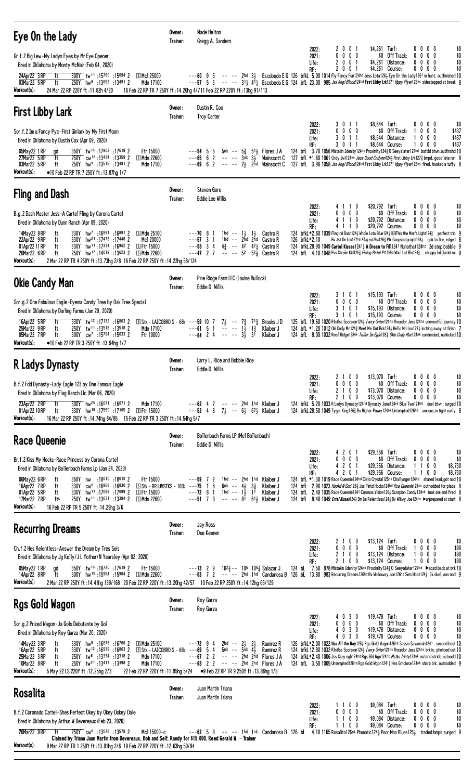| Eye On the Lady                                                                                                                                                                                                                                                                                                                                                                                                                                                                                                                                    | Owner:<br>Trainer: | Wade Helton<br>Gregg A. Sanders                                                                                                                                                                                                                                                                                                                                                                                                                          |                                                                                                                                                                                                                                                                                                                                                                                                                                                                                                                                                                                             |
|----------------------------------------------------------------------------------------------------------------------------------------------------------------------------------------------------------------------------------------------------------------------------------------------------------------------------------------------------------------------------------------------------------------------------------------------------------------------------------------------------------------------------------------------------|--------------------|----------------------------------------------------------------------------------------------------------------------------------------------------------------------------------------------------------------------------------------------------------------------------------------------------------------------------------------------------------------------------------------------------------------------------------------------------------|---------------------------------------------------------------------------------------------------------------------------------------------------------------------------------------------------------------------------------------------------------------------------------------------------------------------------------------------------------------------------------------------------------------------------------------------------------------------------------------------------------------------------------------------------------------------------------------------|
| Gr.f.2 Big Lew-My Ladys Eyes by Mr Eye Opener<br>Bred in Oklahoma by Monty McNair (Feb 04, 2020)<br>$\overline{300Y}$ tw <sup>11</sup> :15780 :15694 2 SMc125000<br>24Apr22 3RP<br>ft                                                                                                                                                                                                                                                                                                                                                              |                    | 2 0 0 1<br>2022:<br>$0\ 0\ 0\ 0$<br>2021:<br>2 0 0 1<br>Life:<br>2 0 0 1<br>RP:<br>$---60$ 9 5 $- --$ 2hd 33 Escobedo E G 126 bfkL 5.00 1014 Fly Fancy Fun124hd Jess Lota1263 Eye On the Lady1261 in hunt, outfinished 10                                                                                                                                                                                                                                | \$4,261 Turf:<br>0000<br>\$0<br>\$0 Off Track:<br>$0\ 0\ 0\ 0$<br>\$0<br>Distance:<br>\$4,261<br>$0\,0\,0\,0$<br>\$0<br>\$4,261 Course:<br>0000<br>\$0                                                                                                                                                                                                                                                                                                                                                                                                                                      |
| 03Mar22 5 RP<br>Mdn 17100<br>ft<br>250Y hw <sup>9</sup> :13692 :13491 2<br>Workout(s):<br>24 Mar 22 RP 220Y ft: 11.82h 4/20                                                                                                                                                                                                                                                                                                                                                                                                                        |                    | --57 5 3 -- -- 313 414 Escobedo E G 124 bfl. 23.00 985 Jos Angl Blood 24hd First Libby Lrk1271 Hppy Flyer126ns sidestepped at break 8<br>16 Feb 22 RP TR 7 250Y ft : 14.20hg 4/711 Feb 22 RP 220Y ft : 13hg 91/113                                                                                                                                                                                                                                       |                                                                                                                                                                                                                                                                                                                                                                                                                                                                                                                                                                                             |
| <b>First Libby Lark</b>                                                                                                                                                                                                                                                                                                                                                                                                                                                                                                                            | Owner:<br>Trainer: | Dustin R. Cox<br><b>Troy Carter</b>                                                                                                                                                                                                                                                                                                                                                                                                                      |                                                                                                                                                                                                                                                                                                                                                                                                                                                                                                                                                                                             |
| Sor.f.2 Im a Fancy Pyc-First Ginlark by My First Moon<br>Bred in Oklahoma by Dustin Cox (Apr 09, 2020)<br>05May22 1 RP<br>350Y tw <sup>15</sup> :17902:17619 2<br>Ftr 15000<br>gd<br>250Y cw <sup>12</sup> :13434:13359 2<br>27Mar22 5RP<br>S Mdn 22600<br>ft<br>03Mar22 5 RP<br>250Y hw <sup>9</sup> :13515 :13491 2<br>Mdn 17100<br>ft<br>Workout(s):<br>•10 Feb 22 RP TR 7 250Y ft: 13.87hg 1/7                                                                                                                                                 |                    | 3011<br>2022:<br>$0\ 0\ 0\ 0$<br>2021:<br>3 0 1 1<br>Life:<br>RP:<br>3 0 1 1<br>5nk -- $5\frac{3}{4}$ 5 <sup>1</sup> / <sub>2</sub> Flores J A<br>$--54$ 5 5<br>---65 6 2 -- -- 3nk 3} Wainscott C 127 bfL *1.60 1061 Cndy Jw1124ns Jess Good Cndymn124} First Libby Lrk127 $\frac{3}{4}$ bmpd, good late run 8<br>---69 6 2 -- -- 23 2hd Wainscott C 127 bfl. 3.90 1058 Jss Angl Blood124hd First Libby Lrk1271 Hppy Flyer126ns fired, hooked a tuffy 8 | \$8,644 Turf:<br>0000<br>\$0<br>\$0 Off Track:<br>1000<br>\$437<br>\$8,644 Distance:<br>$0\ 0\ 0$<br>\$437<br>1<br>\$8,644 Course:<br>\$437<br>$0\,$ $0\,$ $0\,$<br>124 bfl. 3.70 1056 Mistakin Idenity 124 <sup>nk</sup> Proximity 124 <sup>3</sup> 0 Seeyalater 127hd battld btwn, outfinshd 10                                                                                                                                                                                                                                                                                           |
| <b>Fling and Dash</b>                                                                                                                                                                                                                                                                                                                                                                                                                                                                                                                              | Owner:<br>Trainer: | Steven Gore<br><b>Eddie Lee Willis</b>                                                                                                                                                                                                                                                                                                                                                                                                                   |                                                                                                                                                                                                                                                                                                                                                                                                                                                                                                                                                                                             |
| B.g.2 Dash Master Jess-A Cartel Fling by Corona Cartel<br>Bred in Oklahoma by Dunn Ranch (Apr 09, 2020)<br>14May22 8RP<br>330Y hw <sup>7</sup> :16891 :16891 2<br>ft<br>$\mathbb{S}$ Mdn 25100<br>Mc1 20000<br>22Apr22 9RP<br>330Y hw <sup>21</sup> :17473 :17448 2<br>ft<br>01Apr22 11 RP<br>ft<br>330Y hw <sup>11</sup> :17 <sup>334</sup> :16962 2<br>⑤ Ftr 15000<br>250Y hw <sup>17</sup> :14019 :13623 2 SMdn 22600<br>20Mar22 6 RP<br>ft<br>Workout(s):<br>2 Mar 22 RP TR 4 250Y ft : 13.73hg 2/8 16 Feb 22 RP 250Y ft : 14.22hg 58/124      |                    | 4 1 1 0<br>2022:<br>$0\ 0\ 0\ 0$<br>2021:<br>4 1 1 0<br>Life:<br>4 1 1 0<br>RP:<br>$---70$ 8 1<br>1hd $--$ 1 $\frac{1}{2}$ 1 $\frac{1}{2}$ Castro R<br>$---57$ 3 1<br>1hd -- 2hd 2hd Castro R<br>126 bfkL*2.10<br>$---58$ 3 4 $4\frac{3}{4}$ $---42$ $42\frac{1}{4}$ Castro R<br>$---47$ 2 7 $---$ 52 $5^{2}$ Castro R                                                                                                                                   | \$20,792 Turf:<br>0000<br>\$0<br>\$0 Off Track:<br>$0\ 0\ 0\ 0$<br>\$0<br>\$20,792 Distance:<br>$0\,0\,0\,0$<br>\$0<br>\$20,792 Course:<br>$0\,0\,0\,0$<br>\$0<br>124 bfkL *2.60 1039 Fling nd Dash124} Whole Lota Blue1243 @ This the Marfa Light1243 perfect trip 9<br>By Jst On Lok127hd Flng nd Dsh1263 Pfr Coopsbstprojct1283 quik to fire, edged 8<br>124 bfkl 28.90 1049 Cartel Kisses12411 A Dream to Fill1241 Nunothat124hd 2d step bobble 9<br>124 bfL 4.10 1048 Pvs Chroke Kid1253 Flming Pistol Pt125hd Whol Lot Blu1243 choppy brk, lackd rm 9                                 |
| <b>Okie Candy Man</b>                                                                                                                                                                                                                                                                                                                                                                                                                                                                                                                              | Owner:<br>Trainer: | Pine Ridge Farm LLC (Louise Bullock)<br>Eddie D. Willis                                                                                                                                                                                                                                                                                                                                                                                                  |                                                                                                                                                                                                                                                                                                                                                                                                                                                                                                                                                                                             |
| Sor.g.2 One Fabulous Eagle-Eyema Candy Tree by Oak Tree Special<br>Bred in Oklahoma by Darling Farms (Jan 20, 2020)<br>330Y tw <sup>12</sup> :17132:168632<br>16Apr22 5 RP<br>ft<br>25Mar22 9 RP<br>250Y tw <sup>11</sup> :13518 :13518 2<br>ft<br>05Mar22 7RP<br>300Y cw <sup>7</sup> :15794 :15633 2<br>ft<br>Workout(s):<br>•10 Feb 22 RP TR 3 250Y ft :13.94hg 1/7                                                                                                                                                                             |                    | 3 1 0 1<br>2022:<br>$0\ 0\ 0\ 0$<br>2021:<br>3 1 0 1<br>Life:<br>3 1 0 1<br>RP:                                                                                                                                                                                                                                                                                                                                                                          | $$15,193$ Turf:<br>0000<br>\$0<br>\$0 Off Track:<br>$0\ 0\ 0\ 0$<br>\$0<br>$0\ 0\ 0\ 0$<br>\$0<br>$$15,193$ Distance:<br>\$15,193 Course:<br>$0\,0\,0\,0$<br>\$0<br>125 bfl 19.60 1020 RIntlss Scorpion1243 Ivory Sntor124ns Vncedor Jess124ns uneventful journey 10<br>124 bfl *1.20 1012 Oki Cndy Mn1243 Meet Me Out Bck1243 Hello Mri Lou1273 inching away at finish 7<br>124 bfl 8.00 1032 Reef Ridge128nk Teller Im Egle128 <sub>4</sub> Okie Cndy Man124nk contended, outkicked 10                                                                                                    |
| <b>R Ladys Dynasty</b>                                                                                                                                                                                                                                                                                                                                                                                                                                                                                                                             | Owner:<br>Trainer: | Larry L. Rice and Bobbie Rice<br>Eddie D. Willis                                                                                                                                                                                                                                                                                                                                                                                                         |                                                                                                                                                                                                                                                                                                                                                                                                                                                                                                                                                                                             |
| B.f.2 Fdd Dynasty-Lady Eagle 123 by One Famous Eagle<br>Bred in Oklahoma by Flag Ranch Llc (Mar 06, 2020)<br>300Y hw <sup>25</sup> :16071 :16071 2<br>23Apr22 2RP<br>ft<br>Mdn 17100<br>330Y hw <sup>19</sup> :17550:17165 2 SFtr 15000<br>01Apr22 10 RP<br>ft<br>Workout(s):<br>16 Mar 22 RP 250Y ft: 14.74hg 84/85 15 Feb 22 RP TR 3 250Y ft: 14.54hg 5/7                                                                                                                                                                                        |                    | 2 1 0 0<br>2022:<br>$0\ 0\ 0\ 0$<br>2021:<br>2 1 0 0<br>Life:<br>2100<br>RP:<br>$---62$ 4 2<br>-- -- 2hd 1hd Klaiber J<br>$---52$ 4 8 $7\frac{1}{2}$ $---6\frac{1}{2}$ 6 <sup>2</sup> $\frac{1}{2}$ Klaiber J                                                                                                                                                                                                                                            | $0\ 0\ 0\ 0$<br>\$13,070 Turf:<br>\$0<br>$0\ 0\ 0$<br>\$0 Off Track:<br>0<br>\$0<br>\$13,070 Distance:<br>0<br>$0\,0\,0$<br>\$0<br>\$13,070 Course:<br>0000<br>\$0<br>124 bfkL 5.20 1033 R Ladys Dynasty 124hd Dynasty Jane124nk Blue Two124hd duel btwn, surged 10<br>124 bfkL 28.50 1049 Tyger King1263 Bv Higher Power124nk Untempted126hd anxious, in tight early 8                                                                                                                                                                                                                     |
| Race Queenie                                                                                                                                                                                                                                                                                                                                                                                                                                                                                                                                       | Owner:<br>Trainer: | Bollenbach Farms LP (Mel Bollenbach)<br>Eddie D. Willis                                                                                                                                                                                                                                                                                                                                                                                                  |                                                                                                                                                                                                                                                                                                                                                                                                                                                                                                                                                                                             |
| Br.f.2 Kiss My Hocks-Race Princess by Corona Carte1<br>Bred in Oklahoma by Bollenbach Farms Lp (Jan 24, 2020)<br>Ftr 15000<br>06May22 6 RP<br>350Y nw :18010 :18010 2<br>ft<br>$\boxed{\text{S}}$ Stk - RPJUVSTKS - 100k ---75 1<br>16Apr22 7RP<br>$330Y$ cw <sup>8</sup> :16958 :16830 2<br>ft<br>01Apr22 5 RP<br>ft<br>330Y hw <sup>13</sup> :17099:17099 2<br><b>SFtr 15000</b><br>17Mar22 7RP<br>250Y tw <sup>11</sup> :13 <sup>631</sup> :13 <sup>394</sup> 2<br>S Mdn 22600<br>fts<br>Workout(s):<br>16 Feb 22 RP TR 5 250Y ft : 14.29hg 3/6 |                    | 4201<br>2022:<br>0 0 0 0<br>2021:<br>4 2 0 1<br>Life:<br>4 2 0 1<br>RP:<br>$---59$ 7 2<br>$1hd$ -- 2nd 1nd Klaiber J<br>6<br>6nk -- $4\frac{1}{2}$ $3\frac{3}{4}$<br>Klaiber J<br>$---72$ 8 1<br>1hd -- $1\frac{1}{2}$<br>11<br>Klaiber J<br>$---51$ 7 8<br>$-- -8i$ 613 Klaiber J                                                                                                                                                                       | \$29,356 Turf:<br>$0\ 0\ 0\ 0$<br>\$0<br>\$0 Off Track:<br>$0\ 0\ 0\ 0$<br>\$0<br>\$29,356 Distance:<br>1<br>$0\quad 0$<br>\$8,730<br>-1<br>\$29,356 Course:<br>100<br>\$8,730<br>124 bfL *1.30 1019 Race Queenie124hd Cielo Crystal125nk Challynger124hd shared lead, got nod 10<br>124 bfl. 2.90 1023 Hookd N Gon1263 Jss Pintd Hocks124hd Rce Queenie124ns outnodded for place 8<br>124 bfl. 2.40 1035 Race Queenie1241 Coronas Vision1263 Scorpion Candy124nk took aim and fired 8<br>124 bfl. 8.40 1049 Crtel Kisses1243 Dm Im Relentless1243 Bv Wikwy Joe124ns Dunprepared at start 8 |
| <b>Recurring Dreams</b>                                                                                                                                                                                                                                                                                                                                                                                                                                                                                                                            | Owner:<br>Trainer: | Jay Ross<br>Dee Keener                                                                                                                                                                                                                                                                                                                                                                                                                                   |                                                                                                                                                                                                                                                                                                                                                                                                                                                                                                                                                                                             |
| Ch.f.2 Hes Relentless-Answer the Dream by Tres Seis<br>Bred in Oklahoma by Jg Kelly/JL Yother/N Yearsley (Apr 02, 2020)<br>350Y tw <sup>15</sup> :18720:17619 2<br>Ftr 15000<br>05May22 1 RP<br>ad<br>300Y hw <sup>10</sup> :15984 :15984 2 SMdn 22600<br>14Apr22 8RP<br>ft<br>Workout(s):<br>2 Mar 22 RP 250Y ft :14.41hg 139/168 20 Feb 22 RP 220Y ft :13.20hg 42/57 10 Feb 22 RP 250Y ft :14.12hg 66/129                                                                                                                                        |                    | 2100<br>2022:<br>$0\ 0\ 0\ 0$<br>2021:<br>2100<br>Life:<br>2 1 0 0<br>RP:<br>$---13$ 2 9 $10^{21}$ $--- 10^{5}$ $10^{62}$ Salazar J<br>---63 7 2 -- - 2hd 1hd Candanosa B 126 bl 13.80 983 Recurring Dreams126hd Bv Walkaway Joe126hd Seis Hoot124} 3x duel, won nod 9                                                                                                                                                                                   | $$13,124$ Turf:<br>0000<br>\$0<br>\$0 Off Track:<br>$0\ 0\ 0$<br>\$90<br>1<br>\$13,124 Distance:<br>\$90<br>$0\,0\,0$<br>\$13,124 Course:<br>$0\ 0\ 0$<br>\$90<br>124 bL 7.50 978 Mistakin Idenity 124nk Proximity 124 $\frac{3}{4}$ 0 Seeyalater 127hd >sqzd back at brk 10                                                                                                                                                                                                                                                                                                                |
| Rgs Gold Wagon                                                                                                                                                                                                                                                                                                                                                                                                                                                                                                                                     | Owner:<br>Trainer: | Roy Garza<br>Roy Garza                                                                                                                                                                                                                                                                                                                                                                                                                                   |                                                                                                                                                                                                                                                                                                                                                                                                                                                                                                                                                                                             |
| Sor.g.2 Prized Wagon-Ja Gols Debutante by Gol<br>Bred in Oklahoma by Roy Garza (Mar 20, 2020)<br>14May22 3RP<br>$330Y$ hw <sup>9</sup> :16876 :16786 2<br>S Mdn 25100<br>ft                                                                                                                                                                                                                                                                                                                                                                        |                    | 4 0 3 0<br>2022:<br>$0\ 0\ 0\ 0$<br>2021:<br>4 0 3 0<br>Life:<br>4 0 3 0<br>RP:<br>2hd -- $2\frac{1}{2}$ $2\frac{1}{2}$<br>$---72$ 9 4<br>Ramirez R                                                                                                                                                                                                                                                                                                      | \$19,478 Turf:<br>0000<br>\$0<br>\$0 Off Track:<br>$0\ 0\ 0\ 0$<br>\$0<br>\$19,478 Distance:<br>$0\ 0\ 0\ 0$<br>\$0<br>\$19,478 Course:<br>$0\,0\,0\,0$<br>\$0<br>126 bfkL *2.00 1022 Usa All the Way125} Rgs Gold Wagon126nk Sassie Savannah1241 second best 10                                                                                                                                                                                                                                                                                                                            |
| $S$ Stk - LAICOBRD S - 68k --- 69 5 4<br>16Apr22 5 RP<br>330Y tw <sup>12</sup> :16939:168632<br>ft<br>25Mar22 3 RP<br>$250Y$ tw <sup>8</sup> :13334 :13318 2<br>Mdn 17100<br>ft<br>10Mar22 8RP<br>250Y tw <sup>21</sup> :13417:13398 2<br>Mdn 17100<br>ft<br>Workout(s):<br>5 May 22 LS 220Y ft: 12.25bg 2/3                                                                                                                                                                                                                                       |                    | 5nk -- 5nk 41,<br>Ramirez R<br>$---67$ 2 2 $---2$ 2hd $2\overline{n}$ d Flores JA<br>$---68$ 2 2 $---2$ 2hd 2hd Flores JA<br>22 Feb 22 RP 220Y ft :11.95hg 5/24 ● Feb 22 RP TR 9 250Y ft :13.86hg 1/8                                                                                                                                                                                                                                                    | 124 bfkL 12.80 1032 Rintiss Scorpion1243 Ivory Sntor124ns Vncedor Jess124ns brk in, photoed out 10<br>124 bfkL *2.40 1006 Jss Crzy ngh124hd Rgs Gld Wgn124nk Mstkn Idnty124nk matchd stride, outnodd 10<br>124 bfl. 3.50 1005 Untempted126hd Rgs Gold Wgon1241 <sub>4</sub> Hes Grndiose124nk sharp brk, outnodded 9                                                                                                                                                                                                                                                                        |
| <b>Rosalita</b>                                                                                                                                                                                                                                                                                                                                                                                                                                                                                                                                    | Owner:<br>Trainer: | Juan Martin Triana<br>Juan Martin Triana                                                                                                                                                                                                                                                                                                                                                                                                                 |                                                                                                                                                                                                                                                                                                                                                                                                                                                                                                                                                                                             |
| B.f.2 Coronado Cartel-Shes Perfect Okey by Okey Dokey Dale<br>Bred in Oklahoma by Arthur W Devereaux (Feb 23, 2020)<br>250Y cw <sup>8</sup> :13578 :13578 2<br>26Mar22 9 RP<br>ft<br>Mc1 15000-c<br>Claimed by Triana Juan Martin from Devereaux, Bob and Self, Randy for \$15,000, Reed Gerald W. - Trainer<br>Workout(s):<br>9 Mar 22 RP TR 1 250Y ft : 13.91hg 2/6 19 Feb 22 RP 220Y ft : 12.63hg 50/94                                                                                                                                         |                    | 2022:<br>1100<br>$0\ 0\ 0\ 0$<br>2021:<br>1100<br>Life:<br>1100<br>RP:<br>$---62$ 5 8 $--$ -- 1hd 1nk Candanosa B 126 bl. 4.10 1165 Rosalita126nk Phunatic124 $\frac{1}{2}$ Poor Man Blues125 $\frac{1}{2}$ traded bmps, surged 9                                                                                                                                                                                                                        | \$9,084 Turf:<br>0000<br>\$0<br>\$0 Off Track:<br>$0\ 0\ 0\ 0$<br>\$0<br>\$0<br>\$9,084 Distance:<br>$0\,0\,0\,0$<br>\$9,084 Course:<br>$0\ 0\ 0\ 0$<br>\$0                                                                                                                                                                                                                                                                                                                                                                                                                                 |